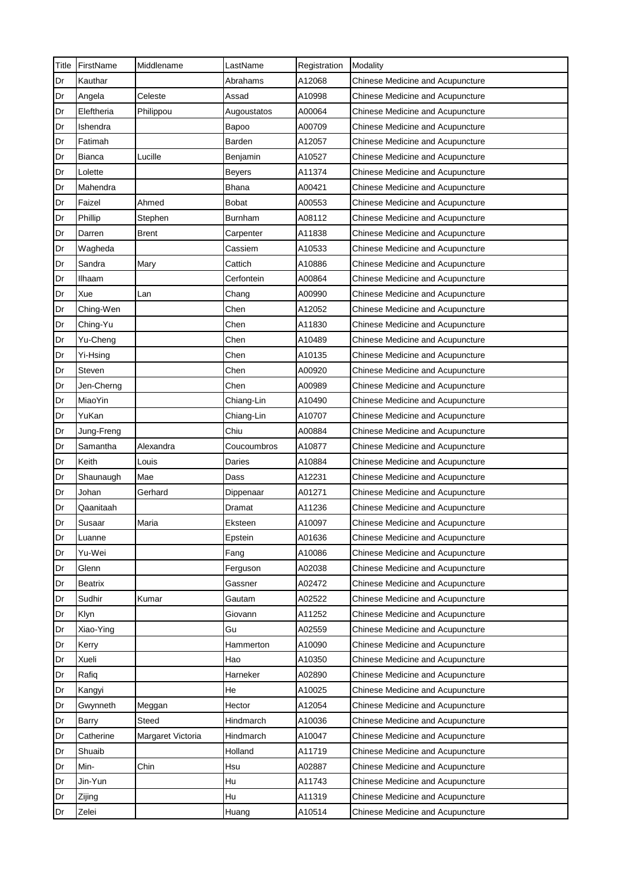| Title | FirstName  | Middlename        | LastName      | Registration | Modality                         |
|-------|------------|-------------------|---------------|--------------|----------------------------------|
| Dr    | Kauthar    |                   | Abrahams      | A12068       | Chinese Medicine and Acupuncture |
| Dr    | Angela     | Celeste           | Assad         | A10998       | Chinese Medicine and Acupuncture |
| Dr    | Eleftheria | Philippou         | Augoustatos   | A00064       | Chinese Medicine and Acupuncture |
| Dr    | Ishendra   |                   | Bapoo         | A00709       | Chinese Medicine and Acupuncture |
| Dr    | Fatimah    |                   | Barden        | A12057       | Chinese Medicine and Acupuncture |
| Dr    | Bianca     | Lucille           | Benjamin      | A10527       | Chinese Medicine and Acupuncture |
| Dr    | Lolette    |                   | <b>Beyers</b> | A11374       | Chinese Medicine and Acupuncture |
| Dr    | Mahendra   |                   | <b>Bhana</b>  | A00421       | Chinese Medicine and Acupuncture |
| Dr    | Faizel     | Ahmed             | <b>Bobat</b>  | A00553       | Chinese Medicine and Acupuncture |
| Dr    | Phillip    | Stephen           | Burnham       | A08112       | Chinese Medicine and Acupuncture |
| Dr    | Darren     | Brent             | Carpenter     | A11838       | Chinese Medicine and Acupuncture |
| Dr    | Wagheda    |                   | Cassiem       | A10533       | Chinese Medicine and Acupuncture |
| Dr    | Sandra     | Mary              | Cattich       | A10886       | Chinese Medicine and Acupuncture |
| Dr    | Ilhaam     |                   | Cerfontein    | A00864       | Chinese Medicine and Acupuncture |
| Dr    | Xue        | Lan               | Chang         | A00990       | Chinese Medicine and Acupuncture |
| Dr    | Ching-Wen  |                   | Chen          | A12052       | Chinese Medicine and Acupuncture |
| Dr    | Ching-Yu   |                   | Chen          | A11830       | Chinese Medicine and Acupuncture |
| Dr    | Yu-Cheng   |                   | Chen          | A10489       | Chinese Medicine and Acupuncture |
| Dr    | Yi-Hsing   |                   | Chen          | A10135       | Chinese Medicine and Acupuncture |
| Dr    | Steven     |                   | Chen          | A00920       | Chinese Medicine and Acupuncture |
| Dr    | Jen-Cherng |                   | Chen          | A00989       | Chinese Medicine and Acupuncture |
| Dr    | MiaoYin    |                   | Chiang-Lin    | A10490       | Chinese Medicine and Acupuncture |
| Dr    | YuKan      |                   | Chiang-Lin    | A10707       | Chinese Medicine and Acupuncture |
| Dr    | Jung-Freng |                   | Chiu          | A00884       | Chinese Medicine and Acupuncture |
| Dr    | Samantha   | Alexandra         | Coucoumbros   | A10877       | Chinese Medicine and Acupuncture |
| Dr    | Keith      | Louis             | Daries        | A10884       | Chinese Medicine and Acupuncture |
| Dr    | Shaunaugh  | Mae               | Dass          | A12231       | Chinese Medicine and Acupuncture |
| Dr    | Johan      | Gerhard           | Dippenaar     | A01271       | Chinese Medicine and Acupuncture |
| Dr    | Qaanitaah  |                   | Dramat        | A11236       | Chinese Medicine and Acupuncture |
| Dr    | Susaar     | Maria             | Eksteen       | A10097       | Chinese Medicine and Acupuncture |
| Dr    | Luanne     |                   | Epstein       | A01636       | Chinese Medicine and Acupuncture |
| Dr    | Yu-Wei     |                   | Fang          | A10086       | Chinese Medicine and Acupuncture |
| Dr    | Glenn      |                   | Ferguson      | A02038       | Chinese Medicine and Acupuncture |
| Dr    | Beatrix    |                   | Gassner       | A02472       | Chinese Medicine and Acupuncture |
| Dr    | Sudhir     | Kumar             | Gautam        | A02522       | Chinese Medicine and Acupuncture |
| Dr    | Klyn       |                   | Giovann       | A11252       | Chinese Medicine and Acupuncture |
| Dr    | Xiao-Ying  |                   | Gu            | A02559       | Chinese Medicine and Acupuncture |
| Dr    | Kerry      |                   | Hammerton     | A10090       | Chinese Medicine and Acupuncture |
| Dr    | Xueli      |                   | Hao           | A10350       | Chinese Medicine and Acupuncture |
| Dr    | Rafiq      |                   | Harneker      | A02890       | Chinese Medicine and Acupuncture |
| Dr    | Kangyi     |                   | He            | A10025       | Chinese Medicine and Acupuncture |
| Dr    | Gwynneth   | Meggan            | Hector        | A12054       | Chinese Medicine and Acupuncture |
| Dr    | Barry      | Steed             | Hindmarch     | A10036       | Chinese Medicine and Acupuncture |
| Dr    | Catherine  | Margaret Victoria | Hindmarch     | A10047       | Chinese Medicine and Acupuncture |
| Dr    | Shuaib     |                   | Holland       | A11719       | Chinese Medicine and Acupuncture |
| Dr    | Min-       | Chin              | Hsu           | A02887       | Chinese Medicine and Acupuncture |
| Dr    | Jin-Yun    |                   | Hu            | A11743       | Chinese Medicine and Acupuncture |
| Dr    | Zijing     |                   | Hu            | A11319       | Chinese Medicine and Acupuncture |
| Dr    | Zelei      |                   | Huang         | A10514       | Chinese Medicine and Acupuncture |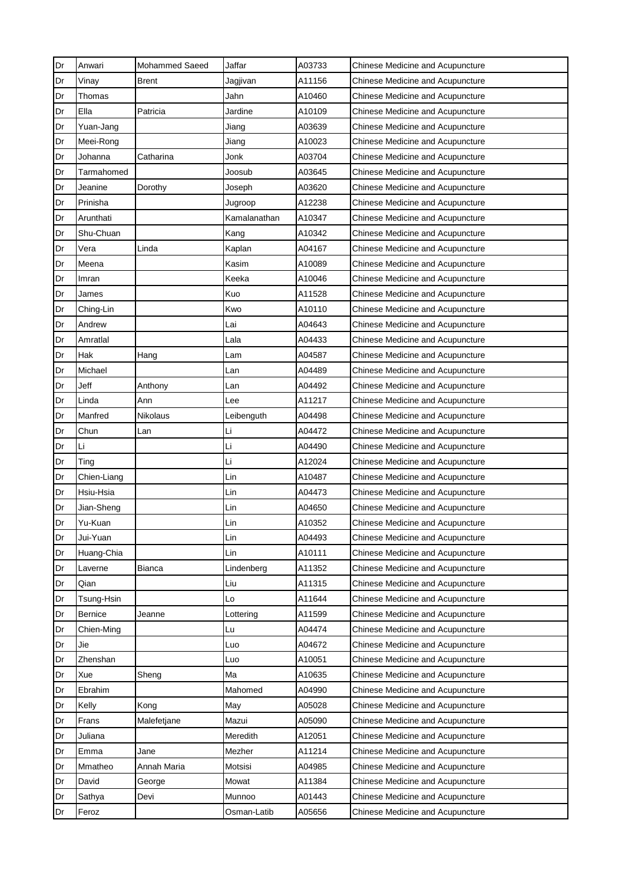| Dr | Anwari      | <b>Mohammed Saeed</b> | Jaffar       | A03733 | Chinese Medicine and Acupuncture        |
|----|-------------|-----------------------|--------------|--------|-----------------------------------------|
| Dr | Vinay       | <b>Brent</b>          | Jagjivan     | A11156 | Chinese Medicine and Acupuncture        |
| Dr | Thomas      |                       | Jahn         | A10460 | Chinese Medicine and Acupuncture        |
| Dr | Ella        | Patricia              | Jardine      | A10109 | Chinese Medicine and Acupuncture        |
| Dr | Yuan-Jang   |                       | Jiang        | A03639 | <b>Chinese Medicine and Acupuncture</b> |
| Dr | Meei-Rong   |                       | Jiang        | A10023 | Chinese Medicine and Acupuncture        |
| Dr | Johanna     | Catharina             | Jonk         | A03704 | Chinese Medicine and Acupuncture        |
| Dr | Tarmahomed  |                       | Joosub       | A03645 | Chinese Medicine and Acupuncture        |
| Dr | Jeanine     | Dorothy               | Joseph       | A03620 | Chinese Medicine and Acupuncture        |
| Dr | Prinisha    |                       | Jugroop      | A12238 | Chinese Medicine and Acupuncture        |
| Dr | Arunthati   |                       | Kamalanathan | A10347 | Chinese Medicine and Acupuncture        |
| Dr | Shu-Chuan   |                       | Kang         | A10342 | <b>Chinese Medicine and Acupuncture</b> |
| Dr | Vera        | Linda                 | Kaplan       | A04167 | Chinese Medicine and Acupuncture        |
| Dr | Meena       |                       | Kasim        | A10089 | Chinese Medicine and Acupuncture        |
| Dr | Imran       |                       | Keeka        | A10046 | Chinese Medicine and Acupuncture        |
| Dr | James       |                       | Kuo          | A11528 | Chinese Medicine and Acupuncture        |
| Dr | Ching-Lin   |                       | Kwo          | A10110 | Chinese Medicine and Acupuncture        |
| Dr | Andrew      |                       | Lai          | A04643 | Chinese Medicine and Acupuncture        |
| Dr | Amratlal    |                       | Lala         | A04433 | <b>Chinese Medicine and Acupuncture</b> |
| Dr | Hak         | Hang                  | Lam          | A04587 | Chinese Medicine and Acupuncture        |
| Dr | Michael     |                       | Lan          | A04489 | Chinese Medicine and Acupuncture        |
| Dr | Jeff        | Anthony               | Lan          | A04492 | Chinese Medicine and Acupuncture        |
| Dr | Linda       | Ann                   | Lee          | A11217 | Chinese Medicine and Acupuncture        |
| Dr | Manfred     | Nikolaus              | Leibenguth   | A04498 | <b>Chinese Medicine and Acupuncture</b> |
| Dr | Chun        | Lan                   | Li           | A04472 | Chinese Medicine and Acupuncture        |
| Dr | Li          |                       | Li           | A04490 | Chinese Medicine and Acupuncture        |
| Dr | Ting        |                       | Li           | A12024 | Chinese Medicine and Acupuncture        |
| Dr | Chien-Liang |                       | Lin          | A10487 | Chinese Medicine and Acupuncture        |
| Dr | Hsiu-Hsia   |                       | Lin          | A04473 | <b>Chinese Medicine and Acupuncture</b> |
| Dr | Jian-Sheng  |                       | Lin          | A04650 | Chinese Medicine and Acupuncture        |
| Dr | Yu-Kuan     |                       | Lin          | A10352 | Chinese Medicine and Acupuncture        |
| Dr | Jui-Yuan    |                       | Lin          | A04493 | Chinese Medicine and Acupuncture        |
| Dr | Huang-Chia  |                       | Lin          | A10111 | Chinese Medicine and Acupuncture        |
| Dr | Laverne     | Bianca                | Lindenberg   | A11352 | Chinese Medicine and Acupuncture        |
| Dr | Qian        |                       | Liu          | A11315 | Chinese Medicine and Acupuncture        |
| Dr | Tsung-Hsin  |                       | Lo           | A11644 | Chinese Medicine and Acupuncture        |
| Dr | Bernice     | Jeanne                | Lottering    | A11599 | Chinese Medicine and Acupuncture        |
| Dr | Chien-Ming  |                       | Lu           | A04474 | <b>Chinese Medicine and Acupuncture</b> |
| Dr | Jie         |                       | Luo          | A04672 | Chinese Medicine and Acupuncture        |
| Dr | Zhenshan    |                       | Luo          | A10051 | Chinese Medicine and Acupuncture        |
| Dr | Xue         | Sheng                 | Ma           | A10635 | <b>Chinese Medicine and Acupuncture</b> |
| Dr | Ebrahim     |                       | Mahomed      | A04990 | Chinese Medicine and Acupuncture        |
| Dr | Kelly       | Kong                  | May          | A05028 | <b>Chinese Medicine and Acupuncture</b> |
| Dr | Frans       | Malefetjane           | Mazui        | A05090 | Chinese Medicine and Acupuncture        |
| Dr | Juliana     |                       | Meredith     | A12051 | Chinese Medicine and Acupuncture        |
| Dr | Emma        | Jane                  | Mezher       | A11214 | Chinese Medicine and Acupuncture        |
| Dr | Mmatheo     | Annah Maria           | Motsisi      | A04985 | Chinese Medicine and Acupuncture        |
| Dr | David       | George                | Mowat        | A11384 | <b>Chinese Medicine and Acupuncture</b> |
| Dr | Sathya      | Devi                  | Munnoo       | A01443 | Chinese Medicine and Acupuncture        |
| Dr | Feroz       |                       | Osman-Latib  | A05656 | Chinese Medicine and Acupuncture        |